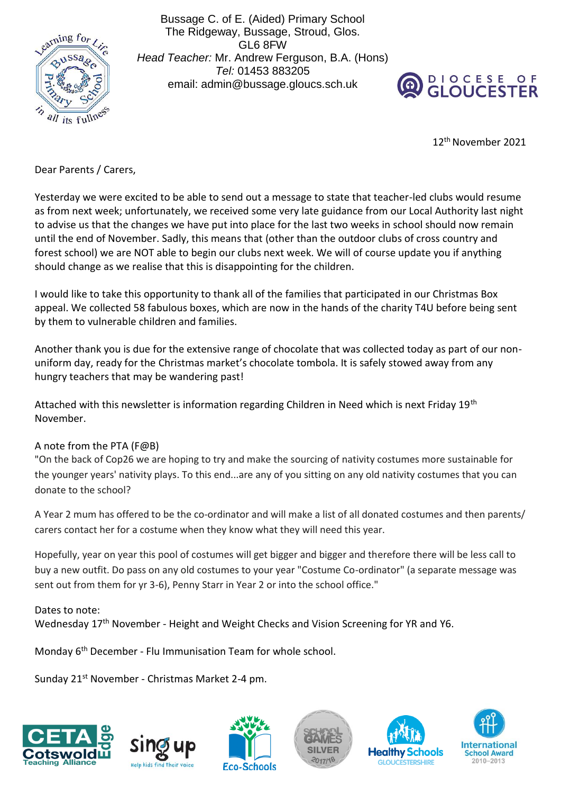

Bussage C. of E. (Aided) Primary School The Ridgeway, Bussage, Stroud, Glos. GL6 8FW *Head Teacher:* Mr. Andrew Ferguson, B.A. (Hons) *Tel:* 01453 883205 email: admin@bussage.gloucs.sch.uk



12th November 2021

Dear Parents / Carers,

Yesterday we were excited to be able to send out a message to state that teacher-led clubs would resume as from next week; unfortunately, we received some very late guidance from our Local Authority last night to advise us that the changes we have put into place for the last two weeks in school should now remain until the end of November. Sadly, this means that (other than the outdoor clubs of cross country and forest school) we are NOT able to begin our clubs next week. We will of course update you if anything should change as we realise that this is disappointing for the children.

I would like to take this opportunity to thank all of the families that participated in our Christmas Box appeal. We collected 58 fabulous boxes, which are now in the hands of the charity T4U before being sent by them to vulnerable children and families.

Another thank you is due for the extensive range of chocolate that was collected today as part of our nonuniform day, ready for the Christmas market's chocolate tombola. It is safely stowed away from any hungry teachers that may be wandering past!

Attached with this newsletter is information regarding Children in Need which is next Friday 19<sup>th</sup> November.

## A note from the PTA (F@B)

"On the back of Cop26 we are hoping to try and make the sourcing of nativity costumes more sustainable for the younger years' nativity plays. To this end...are any of you sitting on any old nativity costumes that you can donate to the school?

A Year 2 mum has offered to be the co-ordinator and will make a list of all donated costumes and then parents/ carers contact her for a costume when they know what they will need this year.

Hopefully, year on year this pool of costumes will get bigger and bigger and therefore there will be less call to buy a new outfit. Do pass on any old costumes to your year "Costume Co-ordinator" (a separate message was sent out from them for yr 3-6), Penny Starr in Year 2 or into the school office."

## Dates to note:

Wednesday 17<sup>th</sup> November - Height and Weight Checks and Vision Screening for YR and Y6.

Monday 6<sup>th</sup> December - Flu Immunisation Team for whole school.

Sunday 21st November - Christmas Market 2-4 pm.